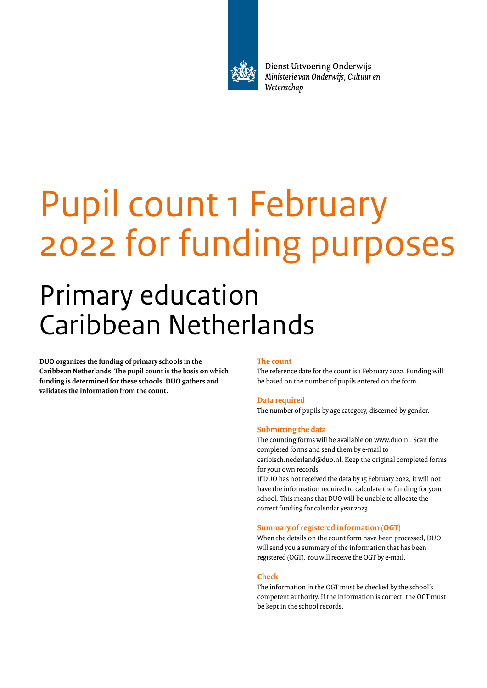

Dienst Uitvoering Onderwijs Ministerie van Onderwijs, Cultuur en Wetenschap

# Pupil count 1 February 2022 for funding purposes

## Primary education Caribbean Netherlands

**DUO organizes the funding of primary schools in the Caribbean Netherlands. The pupil count is the basis on which funding is determined for these schools. DUO gathers and validates the information from the count.**

#### **The count**

The reference date for the count is 1 February 2022. Funding will be based on the number of pupils entered on the form.

#### **Data required**

The number of pupils by age category, discerned by gender.

#### **Submitting the data**

The counting forms will be available on www.duo.nl. Scan the completed forms and send them by e-mail to caribisch.nederland@duo.nl. Keep the original completed forms for your own records.

If DUO has not received the data by 15 February 2022, it will not have the information required to calculate the funding for your school. This means that DUO will be unable to allocate the correct funding for calendar year 2023.

#### **Summary of registered information (OGT)**

When the details on the count form have been processed, DUO will send you a summary of the information that has been registered (OGT). You will receive the OGT by e-mail.

#### **Check**

The information in the OGT must be checked by the school's competent authority. If the information is correct, the OGT must be kept in the school records.